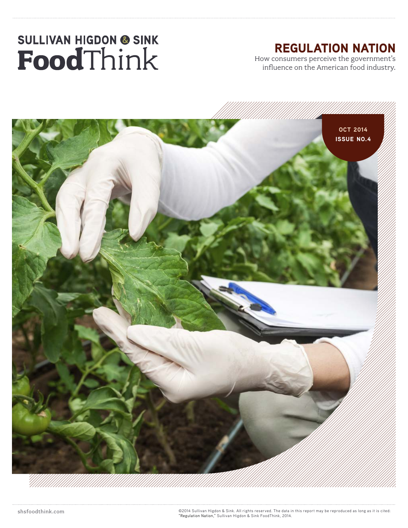## REGULATION NATION

How consumers perceive the government's influence on the American food industry.



shsfoodthink.com ©2014 Sullivan Higdon & Sink. All rights reserved. The data in this report may be reproduced as long as it is cited: "Regulation Nation," Sullivan Higdon & Sink FoodThink, 2014.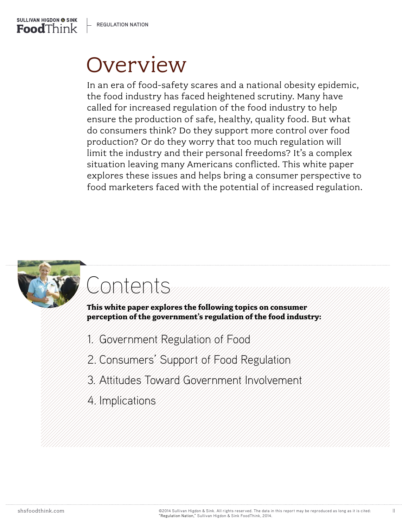

## **Overview**

In an era of food-safety scares and a national obesity epidemic, the food industry has faced heightened scrutiny. Many have called for increased regulation of the food industry to help ensure the production of safe, healthy, quality food. But what do consumers think? Do they support more control over food production? Or do they worry that too much regulation will limit the industry and their personal freedoms? It's a complex situation leaving many Americans conflicted. This white paper explores these issues and helps bring a consumer perspective to food marketers faced with the potential of increased regulation.



## Contents

**This white paper explores the following topics on consumer perception of the government's regulation of the food industry:** 

- 1. Government Regulation of Food
- 2. Consumers' Support of Food Regulation
- 3. Attitudes Toward Government Involvement
- 4. Implications

II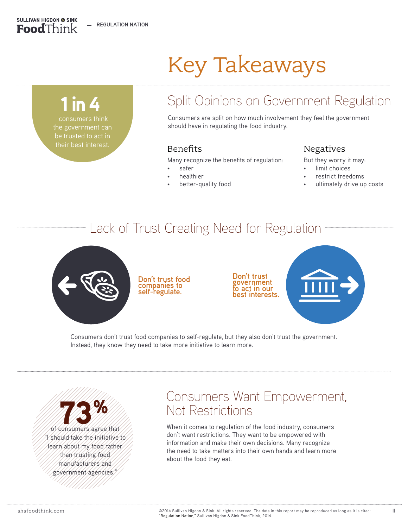## Key Takeaways

 consumers think the government can be trusted to act in 1 in 4

**SULLIVAN HIGDON @ SINK** FoodThink

their best interest.

## Split Opinions on Government Regulation

Consumers are split on how much involvement they feel the government should have in regulating the food industry.

#### Benefits

Many recognize the benefits of regulation:

- safer
- **healthier**
- better-quality food

#### Negatives

But they worry it may:

- limit choices
- restrict freedoms
- ultimately drive up costs

## Lack of Trust Creating Need for Regulation



**Don't trust food companies to self-regulate.**

**Don't trust government to act in our best interests.**



Consumers don't trust food companies to self-regulate, but they also don't trust the government. Instead, they know they need to take more initiative to learn more.

of consumers agree that "I should take the initiative to learn about my food rather than trusting food manufacturers and government agencies."

## Consumers Want Empowerment, Not Restrictions

When it comes to regulation of the food industry, consumers don't want restrictions. They want to be empowered with information and make their own decisions. Many recognize the need to take matters into their own hands and learn more about the food they eat.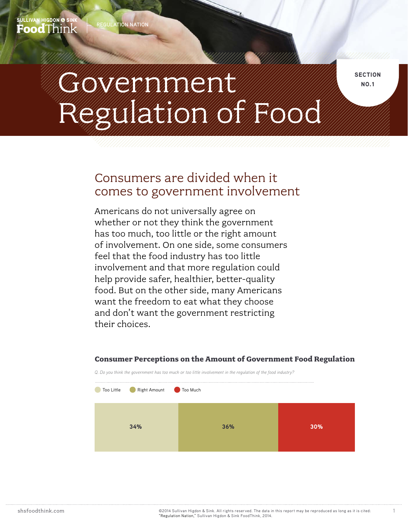SULLIVAN HIGDON <mark>@</mark> SINK  $\mathbf{Food}$ Think

# **CHONICION DISPONSIVILLE SECTION** Regulation of Food

### Consumers are divided when it comes to government involvement

Americans do not universally agree on whether or not they think the government has too much, too little or the right amount of involvement. On one side, some consumers feel that the food industry has too little involvement and that more regulation could help provide safer, healthier, better-quality food. But on the other side, many Americans want the freedom to eat what they choose and don't want the government restricting their choices.

## *Q. Do you think the government has too much or too little involvement in the regulation of the food industry?* **34% 36% 30%** Too Little Right Amount Too Much

#### **Consumer Perceptions on the Amount of Government Food Regulation**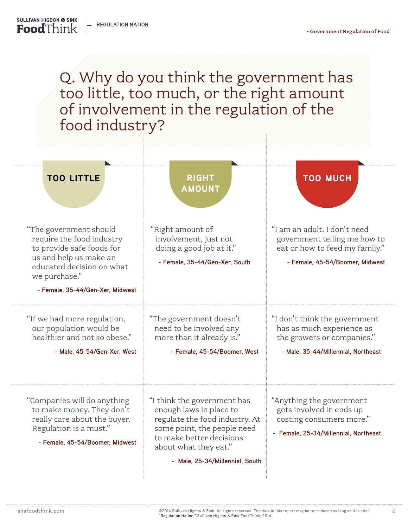> Q. Why do you think the government has too little, too much, or the right amount of involvement in the regulation of the food industry?

| <b>TOO LITTLE</b>                                                                                                                                                                            | <b>RIGHT</b><br><b>AMOUNT</b>                                                                                                                                                                                   | <b>TOO MUCH</b>                                                                                                                   |
|----------------------------------------------------------------------------------------------------------------------------------------------------------------------------------------------|-----------------------------------------------------------------------------------------------------------------------------------------------------------------------------------------------------------------|-----------------------------------------------------------------------------------------------------------------------------------|
| "The government should<br>require the food industry<br>to provide safe foods for<br>us and help us make an<br>educated decision on what<br>we purchase."<br>- Female, 35-44/Gen-Xer, Midwest | "Right amount of<br>involvement, just not<br>doing a good job at it."<br>- Female, 35-44/Gen-Xer, South                                                                                                         | "I am an adult. I don't need<br>government telling me how to<br>eat or how to feed my family."<br>- Female, 45-54/Boomer, Midwest |
| "If we had more regulation,<br>our population would be<br>healthier and not so obese."<br>- Male, 45-54/Gen-Xer, West                                                                        | "The government doesn't<br>need to be involved any<br>more than it already is."<br>- Female, 45-54/Boomer, West                                                                                                 | "I don't think the government<br>has as much experience as<br>the growers or companies."<br>- Male, 35-44/Millennial, Northeast   |
| "Companies will do anything<br>to make money. They don't<br>really care about the buyer.<br>Regulation is a must."<br>- Female, 45-54/Boomer, Midwest                                        | "I think the government has<br>enough laws in place to<br>regulate the food industry. At<br>some point, the people need<br>to make better decisions<br>about what they eat."<br>- Male, 25-34/Millennial, South | "Anything the government<br>gets involved in ends up<br>costing consumers more."<br>- Female, 25-34/Millennial, Northeast         |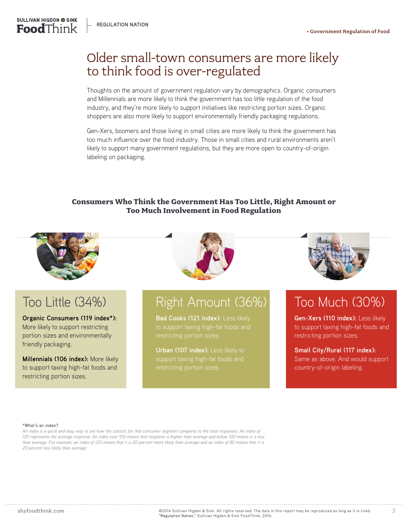### Older small-town consumers are more likely to think food is over-regulated

Thoughts on the amount of government regulation vary by demographics. Organic consumers and Millennials are more likely to think the government has too little regulation of the food industry, and they're more likely to support initiatives like restricting portion sizes. Organic shoppers are also more likely to support environmentally friendly packaging regulations.

Gen-Xers, boomers and those living in small cities are more likely to think the government has too much influence over the food industry. Those in small cities and rural environments aren't likely to support many government regulations, but they are more open to country-of-origin labeling on packaging.

#### **Consumers Who Think the Government Has Too Little, Right Amount or Too Much Involvement in Food Regulation**



**SULLIVAN HIGDON @ SINK Food**Think



## Too Little (34%)

#### **Organic Consumers (119 index\*):**

More likely to support restricting portion sizes and environmentally friendly packaging.

**Millennials (106 index):** More likely to support taxing high-fat foods and restricting portion sizes.

## Right Amount (36%)

Bad Cooks (121 index): Less likely restricting portion sizes.

**Urban (107 index):** Less likely to



## Too Much (30%)

**Gen-Xers (110 index):** Less likely to support taxing high-fat foods and restricting portion sizes.

**Small City/Rural (117 index):** Same as above. And would support country-of-origin labeling.

#### **\*What's an index?**

*An index is a quick and easy way to see how the statistic for that consumer segment compares to the total responses. An index of 100 represents the average response. An index over 100 means that response is higher than average and below 100 means it is less than average. For example, an index of 120 means that it is 20 percent more likely than average and an index of 80 means that it is 20 percent less likely than average.*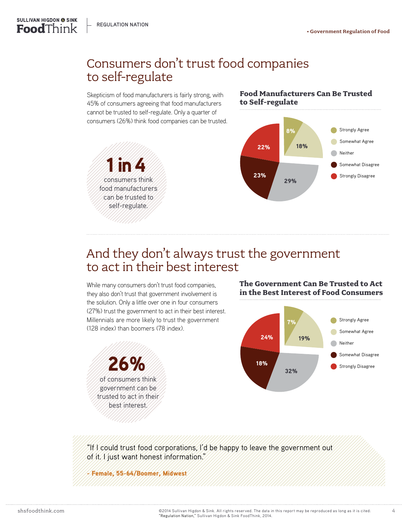consumers think food manufacturers can be trusted to self-regulate.

1 in 4



## Consumers don't trust food companies to self-regulate

Skepticism of food manufacturers is fairly strong, with 45% of consumers agreeing that food manufacturers cannot be trusted to self-regulate. Only a quarter of consumers (26%) think food companies can be trusted.

#### **Food Manufacturers Can Be Trusted to Self-regulate**



## And they don't always trust the government to act in their best interest

While many consumers don't trust food companies, they also don't trust that government involvement is the solution. Only a little over one in four consumers (27%) trust the government to act in their best interest. Millennials are more likely to trust the government (128 index) than boomers (78 index).



#### **The Government Can Be Trusted to Act in the Best Interest of Food Consumers**



"If I could trust food corporations, I'd be happy to leave the government out of it. I just want honest information."

- Female, 55-64/Boomer, Midwest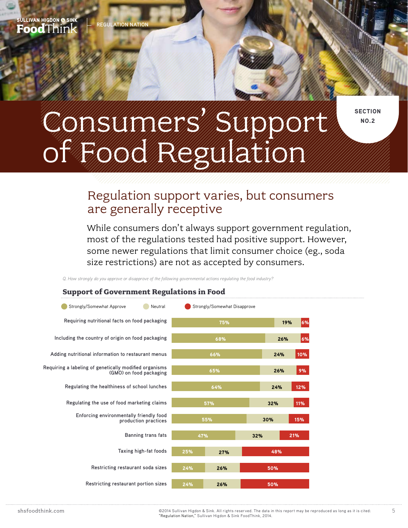#### **section no.2**

# CONSUMERS ROOM Of Food Regulation

#### Regulation support varies, but consumers are generally receptive

While consumers don't always support government regulation, most of the regulations tested had positive support. However, some newer regulations that limit consumer choice (eg., soda size restrictions) are not as accepted by consumers.

*Q. How strongly do you approve or disapprove of the following governmental actions regulating the food industry?* 

#### **Support of Government Regulations in Food**

| Strongly/Somewhat Approve<br>Neutral                                              |     | Strongly/Somewhat Disapprove |     |            |     |
|-----------------------------------------------------------------------------------|-----|------------------------------|-----|------------|-----|
| Requiring nutritional facts on food packaging                                     | 75% |                              |     | 6%<br>19%  |     |
| Including the country of origin on food packaging                                 | 68% |                              |     | 26%        | 6%  |
| Adding nutritional information to restaurant menus                                | 66% |                              |     | 24%        | 10% |
| Requiring a labeling of genetically modified organisms<br>(GMO) on food packaging | 65% |                              |     | 26%        | 9%  |
| Regulating the healthiness of school lunches                                      | 64% |                              |     | 24%        | 12% |
| Regulating the use of food marketing claims                                       | 57% |                              |     | 32%        | 11% |
| Enforcing environmentally friendly food<br>production practices                   | 55% |                              |     | 15%<br>30% |     |
| <b>Banning trans fats</b>                                                         | 47% |                              | 32% |            | 21% |
| Taxing high-fat foods                                                             | 25% | 27%                          |     | 48%        |     |
| Restricting restaurant soda sizes                                                 | 24% | 26%                          |     | 50%        |     |
| Restricting restaurant portion sizes                                              | 24% | 26%                          |     | 50%        |     |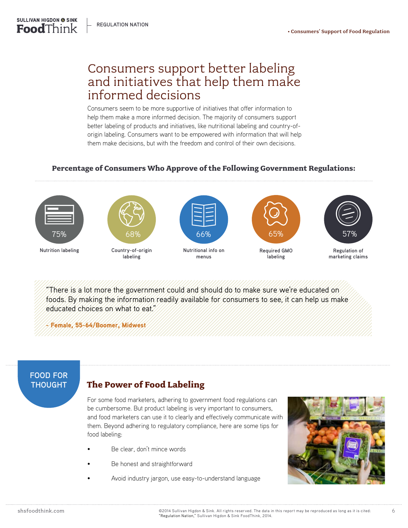#### Consumers support better labeling and initiatives that help them make informed decisions

Consumers seem to be more supportive of initiatives that offer information to help them make a more informed decision. The majority of consumers support better labeling of products and initiatives, like nutritional labeling and country-oforigin labeling. Consumers want to be empowered with information that will help them make decisions, but with the freedom and control of their own decisions.

#### **Percentage of Consumers Who Approve of the Following Government Regulations:**



**SULLIVAN HIGDON @ SINK** FoodThink

**Nutrition labeling**



**labeling**



**Nutritional info on menus**



**Required GMO labeling**



**Regulation of marketing claims**

"There is a lot more the government could and should do to make sure we're educated on foods. By making the information readily available for consumers to see, it can help us make educated choices on what to eat."

- Female, 55-64/Boomer, Midwest



#### **THOUGHT The Power of Food Labeling**

For some food marketers, adhering to government food regulations can be cumbersome. But product labeling is very important to consumers, and food marketers can use it to clearly and effectively communicate with them. Beyond adhering to regulatory compliance, here are some tips for food labeling:

- Be clear, don't mince words
- Be honest and straightforward
- Avoid industry jargon, use easy-to-understand language

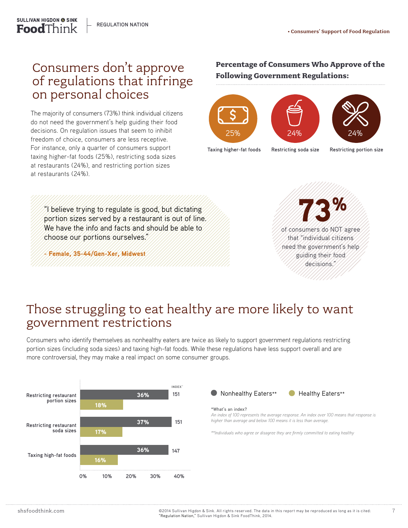#### Consumers don't approve of regulations that infringe on personal choices

The majority of consumers (73%) think individual citizens do not need the government's help guiding their food decisions. On regulation issues that seem to inhibit freedom of choice, consumers are less receptive. For instance, only a quarter of consumers support taxing higher-fat foods (25%), restricting soda sizes at restaurants (24%), and restricting portion sizes at restaurants (24%).

#### **Percentage of Consumers Who Approve of the Following Government Regulations:**



**Restricting soda size**

**Taxing higher-fat foods**

**Restricting portion size**

"I believe trying to regulate is good, but dictating portion sizes served by a restaurant is out of line. We have the info and facts and should be able to choose our portions ourselves."

- Female, 35-44/Gen-Xer, Midwest



## Those struggling to eat healthy are more likely to want government restrictions

Consumers who identify themselves as nonhealthy eaters are twice as likely to support government regulations restricting portion sizes (including soda sizes) and taxing high-fat foods. While these regulations have less support overall and are more controversial, they may make a real impact on some consumer groups.



Nonhealthy Eaters\*\* **C** Healthy Eaters\*\*

#### **\*What's an index?**

*An index of 100 represents the average response. An index over 100 means that response is higher than average and below 100 means it is less than average.*

*\*\*Individuals who agree or disagree they are firmly committed to eating healthy*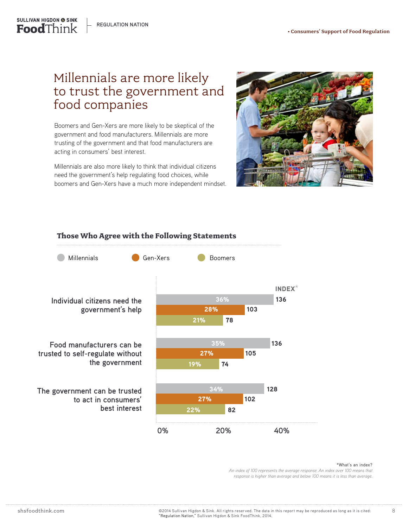**REGULATION NATION**

**SULLIVAN HIGDON @ SINK Food**Think

## Millennials are more likely to trust the government and food companies

Boomers and Gen-Xers are more likely to be skeptical of the government and food manufacturers. Millennials are more trusting of the government and that food manufacturers are acting in consumers' best interest.

Millennials are also more likely to think that individual citizens need the government's help regulating food choices, while boomers and Gen-Xers have a much more independent mindset.





#### **Those Who Agree with the Following Statements**

#### **\*What's an index?**

*An index of 100 represents the average response. An index over 100 means that response is higher than average and below 100 means it is less than average.*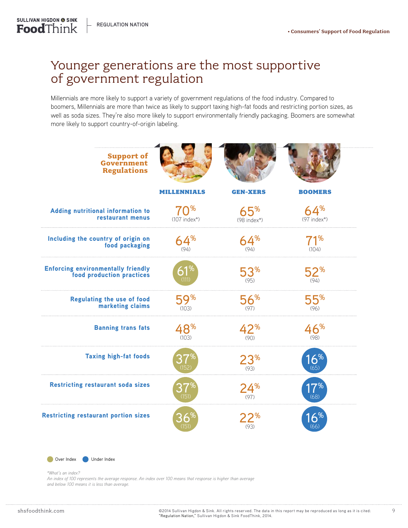### Younger generations are the most supportive of government regulation

Millennials are more likely to support a variety of government regulations of the food industry. Compared to boomers, Millennials are more than twice as likely to support taxing high-fat foods and restricting portion sizes, as well as soda sizes. They're also more likely to support environmentally friendly packaging. Boomers are somewhat more likely to support country-of-origin labeling.

| <b>Support of</b><br>Government<br><b>Regulations</b>                  |                                   |                         |                      |
|------------------------------------------------------------------------|-----------------------------------|-------------------------|----------------------|
|                                                                        | <b>MILLENNIALS</b>                | <b>GEN-XERS</b>         | <b>BOOMERS</b>       |
| Adding nutritional information to<br>restaurant menus                  | 70 <sup>%</sup><br>$(107$ index*) | 65%<br>$(98$ index*)    | 64%<br>$(97$ index*) |
| Including the country of origin on<br>food packaging                   | 64%<br>(94)                       | 64%<br>(94)             | 71%<br>(104)         |
| <b>Enforcing environmentally friendly</b><br>food production practices |                                   | $53^{\circ}$            | $52^{\circ}$         |
| <b>Regulating the use of food</b><br>marketing claims                  | 59%<br>(10.3)                     | 56%<br>(97)             | 55%<br>(96)          |
| <b>Banning trans fats</b>                                              | 48%<br>(10.3)                     | $42^{\%}$               | 46%<br>(98)          |
| <b>Taxing high-fat foods</b>                                           |                                   | 23 <sup>%</sup><br>(93) | $6\%$                |
| <b>Restricting restaurant soda sizes</b>                               |                                   | 24%<br>(97)             |                      |
| <b>Restricting restaurant portion sizes</b>                            |                                   | 22"                     |                      |



*\*What's an index?*

*An index of 100 represents the average response. An index over 100 means that response is higher than average and below 100 means it is less than average.*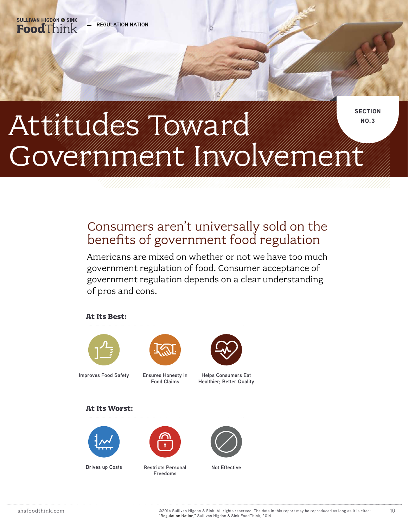

## Consumers aren't universally sold on the benefits of government food regulation

Americans are mixed on whether or not we have too much government regulation of food. Consumer acceptance of government regulation depends on a clear understanding of pros and cons.

#### **At Its Best:**

**REGULATION NATION**

**SULLIVAN HIGDON @ SINK** FoodThink



**Improves Food Safety**



**Ensures Honesty in Food Claims**



**Helps Consumers Eat Healthier; Better Quality** 

#### **At Its Worst:**



**Drives up Costs**



**Restricts Personal Mot Effective Freedoms**

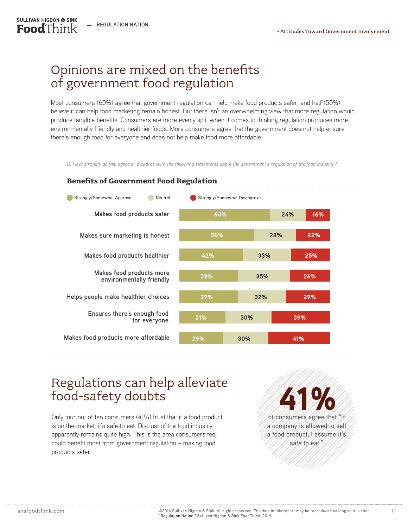## Opinions are mixed on the benefits of government food regulation

Most consumers (60%) agree that government regulation can help make food products safer, and half (50%) believe it can help food marketing remain honest. But there isn't an overwhelming view that more regulation would produce tangible benefits. Consumers are more evenly split when it comes to thinking regulation produces more environmentally friendly and healthier foods. More consumers agree that the government does not help ensure there's enough food for everyone and does not help make food more affordable.

*Q. How strongly do you agree or disagree with the following statements about the government's regulation of the food industry?*



#### **Benefits of Government Food Regulation**

### Regulations can help alleviate food-safety doubts

Only four out of ten consumers (41%) trust that if a food product is on the market, it's safe to eat. Distrust of the food industry apparently remains quite high. This is the area consumers feel could benefit most from government regulation – making food products safer.

of consumers agree that "If a company is allowed to sell a food product, I assume it's safe to eat." 41%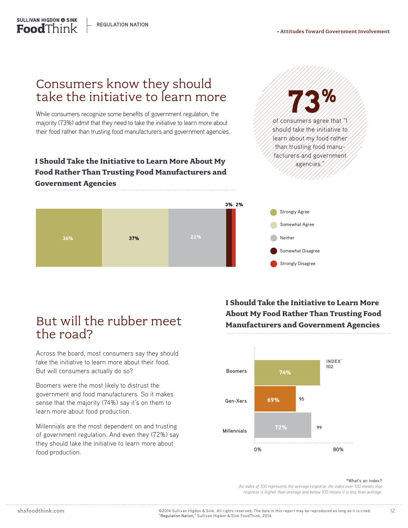**REGULATION NATION**

**SULLIVAN HIGDON @ SINK Food**Think

### Consumers know they should take the initiative to learn more

While consumers recognize some benefits of government regulation, the majority (73%) admit that they need to take the initiative to learn more about their food rather than trusting food manufacturers and government agencies.

#### **I Should Take the Initiative to Learn More About My Food Rather Than Trusting Food Manufacturers and Government Agencies**





### But will the rubber meet the road?

Across the board, most consumers say they should take the initiative to learn more about their food. But will consumers actually do so?

Boomers were the most likely to distrust the government and food manufacturers. So it makes sense that the majority (74%) say it's on them to learn more about food production.

Millennials are the most dependent on and trusting of government regulation. And even they (72%) say they should take the initiative to learn more about food production.

**I Should Take the Initiative to Learn More About My Food Rather Than Trusting Food Manufacturers and Government Agencies**



#### **\*What's an index?**

*An index of 100 represents the average response. An index over 100 means that response is higher than average and below 100 means it is less than average.*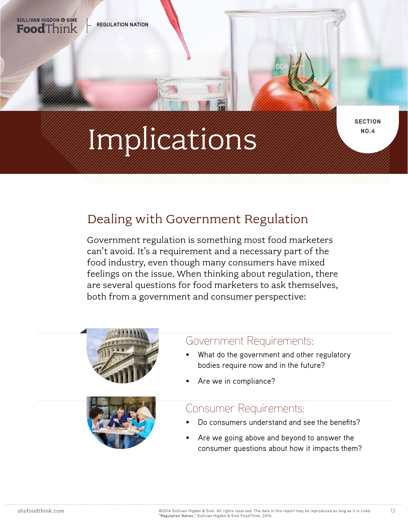

# **No. 4 Indian Constitution of the Constitution of the Constitution of the Constitution of the Constitution of the Constitution of the Constitution of the Constitution of the Constitution of the Constitution of the Constitu**

**section**

## Dealing with Government Regulation

Government regulation is something most food marketers can't avoid. It's a requirement and a necessary part of the food industry, even though many consumers have mixed feelings on the issue. When thinking about regulation, there are several questions for food marketers to ask themselves, both from a government and consumer perspective:





#### Government Requirements:

- What do the government and other regulatory bodies require now and in the future?
- Are we in compliance?

#### Consumer Requirements:

- Do consumers understand and see the benefits?
- Are we going above and beyond to answer the consumer questions about how it impacts them?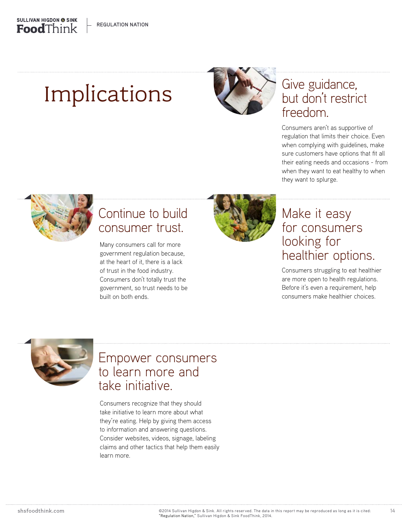## Implications



## Give guidance, but don't restrict freedom.

Consumers aren't as supportive of regulation that limits their choice. Even when complying with guidelines, make sure customers have options that fit all their eating needs and occasions - from when they want to eat healthy to when they want to splurge.



## Continue to build consumer trust.

Many consumers call for more government regulation because, at the heart of it, there is a lack of trust in the food industry. Consumers don't totally trust the government, so trust needs to be built on both ends.



## Make it easy for consumers looking for healthier options.

Consumers struggling to eat healthier are more open to health regulations. Before it's even a requirement, help consumers make healthier choices.

14



## Empower consumers to learn more and take initiative.

Consumers recognize that they should take initiative to learn more about what they're eating. Help by giving them access to information and answering questions. Consider websites, videos, signage, labeling claims and other tactics that help them easily learn more.